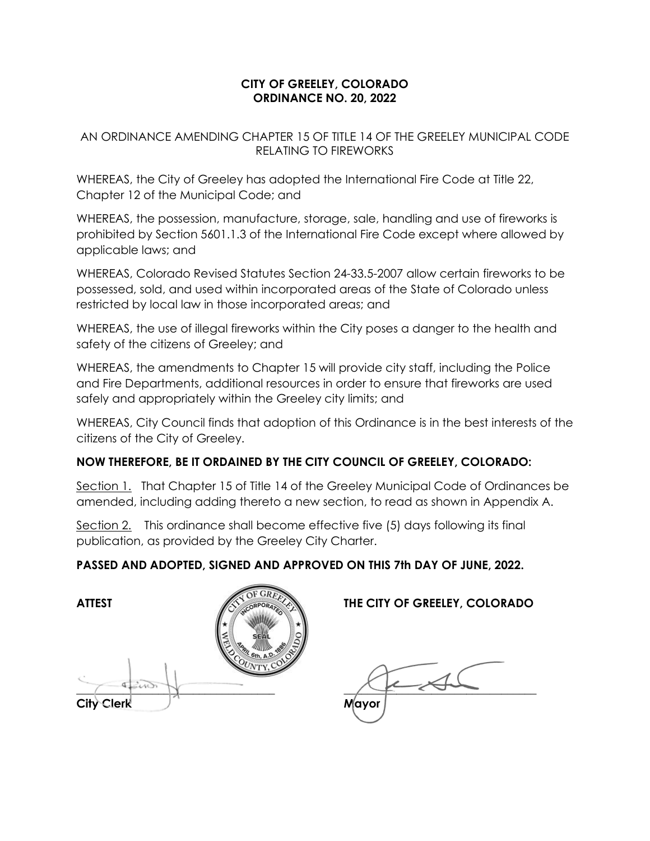#### **CITY OF GREELEY, COLORADO ORDINANCE NO. 20, 2022**

AN ORDINANCE AMENDING CHAPTER 15 OF TITLE 14 OF THE GREELEY MUNICIPAL CODE RELATING TO FIREWORKS

WHEREAS, the City of Greeley has adopted the International Fire Code at Title 22, Chapter 12 of the Municipal Code; and

WHEREAS, the possession, manufacture, storage, sale, handling and use of fireworks is prohibited by Section 5601.1.3 of the International Fire Code except where allowed by applicable laws; and

WHEREAS, Colorado Revised Statutes Section 24-33.5-2007 allow certain fireworks to be possessed, sold, and used within incorporated areas of the State of Colorado unless restricted by local law in those incorporated areas; and

WHEREAS, the use of illegal fireworks within the City poses a danger to the health and safety of the citizens of Greeley; and

WHEREAS, the amendments to Chapter 15 will provide city staff, including the Police and Fire Departments, additional resources in order to ensure that fireworks are used safely and appropriately within the Greeley city limits; and

WHEREAS, City Council finds that adoption of this Ordinance is in the best interests of the citizens of the City of Greeley.

## **NOW THEREFORE, BE IT ORDAINED BY THE CITY COUNCIL OF GREELEY, COLORADO:**

Section 1. That Chapter 15 of Title 14 of the Greeley Municipal Code of Ordinances be amended, including adding thereto a new section, to read as shown in Appendix A.

Section 2. This ordinance shall become effective five (5) days following its final publication, as provided by the Greeley City Charter.

## **PASSED AND ADOPTED, SIGNED AND APPROVED ON THIS 7th DAY OF JUNE, 2022.**

**ATTEST THE CITY OF GREELEY, COLORADO**  $\overline{a}$ City Clerk Mayor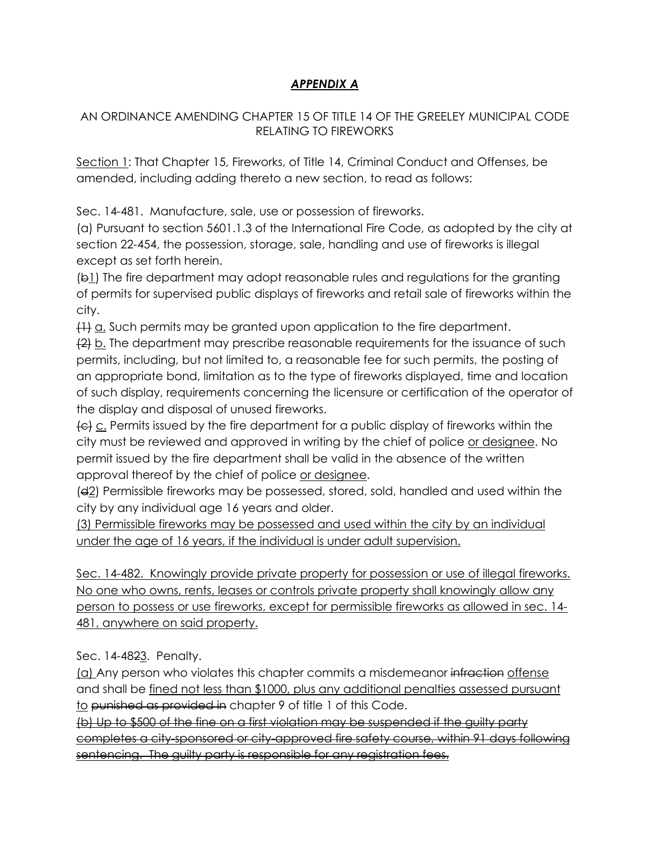# *APPENDIX A*

#### AN ORDINANCE AMENDING CHAPTER 15 OF TITLE 14 OF THE GREELEY MUNICIPAL CODE RELATING TO FIREWORKS

Section 1: That Chapter 15, Fireworks, of Title 14, Criminal Conduct and Offenses, be amended, including adding thereto a new section, to read as follows:

Sec. 14-481. Manufacture, sale, use or possession of fireworks.

(a) Pursuant to section 5601.1.3 of the International Fire Code, as adopted by the city at section 22-454, the possession, storage, sale, handling and use of fireworks is illegal except as set forth herein.

(b1) The fire department may adopt reasonable rules and regulations for the granting of permits for supervised public displays of fireworks and retail sale of fireworks within the city.

 $\left\{\frac{11}{11} \right\}$  a. Such permits may be granted upon application to the fire department.

 $\frac{2}{2}$  b. The department may prescribe reasonable requirements for the issuance of such permits, including, but not limited to, a reasonable fee for such permits, the posting of an appropriate bond, limitation as to the type of fireworks displayed, time and location of such display, requirements concerning the licensure or certification of the operator of the display and disposal of unused fireworks.

 $\left\{\epsilon\right\}$  c. Permits issued by the fire department for a public display of fireworks within the city must be reviewed and approved in writing by the chief of police or designee. No permit issued by the fire department shall be valid in the absence of the written approval thereof by the chief of police or designee.

(d2) Permissible fireworks may be possessed, stored, sold, handled and used within the city by any individual age 16 years and older.

(3) Permissible fireworks may be possessed and used within the city by an individual under the age of 16 years, if the individual is under adult supervision.

Sec. 14-482. Knowingly provide private property for possession or use of illegal fireworks. No one who owns, rents, leases or controls private property shall knowingly allow any person to possess or use fireworks, except for permissible fireworks as allowed in sec. 14- 481, anywhere on said property.

Sec. 14-4823. Penalty.

(a) Any person who violates this chapter commits a misdemeanor infraction offense and shall be fined not less than \$1000, plus any additional penalties assessed pursuant to punished as provided in chapter 9 of title 1 of this Code.

(b) Up to \$500 of the fine on a first violation may be suspended if the guilty party completes a city-sponsored or city-approved fire safety course, within 91 days following sentencing. The guilty party is responsible for any registration fees.